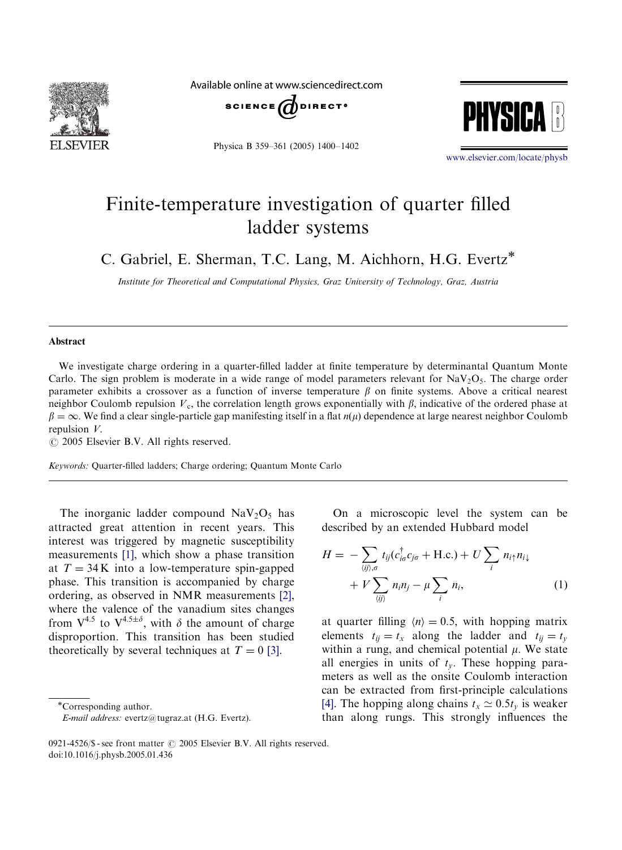

Available online at www.sciencedirect.com



Physica B 359–361 (2005) 1400–1402



<www.elsevier.com/locate/physb>

## Finite-temperature investigation of quarter filled ladder systems

C. Gabriel, E. Sherman, T.C. Lang, M. Aichhorn, H.G. Evertz

Institute for Theoretical and Computational Physics, Graz University of Technology, Graz, Austria

## Abstract

We investigate charge ordering in a quarter-filled ladder at finite temperature by determinantal Quantum Monte Carlo. The sign problem is moderate in a wide range of model parameters relevant for  $\text{NaV}_2\text{O}_5$ . The charge order parameter exhibits a crossover as a function of inverse temperature  $\beta$  on finite systems. Above a critical nearest neighbor Coulomb repulsion  $V_c$ , the correlation length grows exponentially with  $\beta$ , indicative of the ordered phase at  $\beta = \infty$ . We find a clear single-particle gap manifesting itself in a flat  $n(\mu)$  dependence at large nearest neighbor Coulomb repulsion V.

 $\odot$  2005 Elsevier B.V. All rights reserved.

Keywords: Quarter-filled ladders; Charge ordering; Quantum Monte Carlo

The inorganic ladder compound  $\text{NaV}_2\text{O}_5$  has attracted great attention in recent years. This interest was triggered by magnetic susceptibility measurements [\[1\]](#page-2-0), which show a phase transition at  $T = 34$ K into a low-temperature spin-gapped phase. This transition is accompanied by charge ordering, as observed in NMR measurements [\[2\]](#page-2-0), where the valence of the vanadium sites changes from  $V^{4.5}$  to  $V^{4.5\pm\delta}$ , with  $\delta$  the amount of charge disproportion. This transition has been studied theoretically by several techniques at  $T = 0$  [\[3\]](#page-2-0).

On a microscopic level the system can be described by an extended Hubbard model

$$
H = -\sum_{\langle ij \rangle,\sigma} t_{ij} (c_{i\sigma}^{\dagger} c_{j\sigma} + \text{H.c.}) + U \sum_{i} n_{i\uparrow} n_{i\downarrow} + V \sum_{\langle ij \rangle} n_{i} n_{j} - \mu \sum_{i} n_{i}, \tag{1}
$$

at quarter filling  $\langle n \rangle = 0.5$ , with hopping matrix elements  $t_{ij} = t_x$  along the ladder and  $t_{ij} = t_y$ within a rung, and chemical potential  $\mu$ . We state all energies in units of  $t<sub>v</sub>$ . These hopping parameters as well as the onsite Coulomb interaction can be extracted from first-principle calculations [\[4\]](#page-2-0). The hopping along chains  $t_x \approx 0.5t_y$  is weaker than along rungs. This strongly influences the

Corresponding author.

E-mail address: evertz@tugraz.at (H.G. Evertz).

<sup>0921-4526/\$ -</sup> see front matter  $\odot$  2005 Elsevier B.V. All rights reserved. doi:10.1016/j.physb.2005.01.436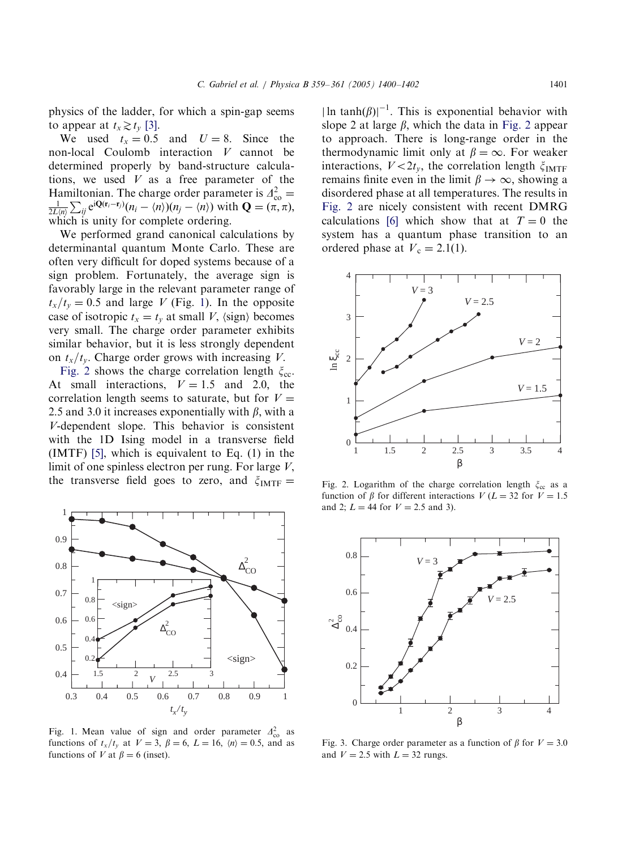<span id="page-1-0"></span>physics of the ladder, for which a spin-gap seems to appear at  $t_x \gtrsim t_y$  [\[3\].](#page-2-0)

We used  $t_x = 0.5$  and  $U = 8$ . Since the non-local Coulomb interaction  $V$  cannot be determined properly by band-structure calculations, we used  $V$  as a free parameter of the Hamiltonian. The charge order parameter is  $\Delta_{\text{co}}^2 = \frac{1}{2L(n)} \sum_{ij} e^{i\mathbf{Q}(\mathbf{r}_i - \mathbf{r}_j)} (n_i - \langle n \rangle)(n_j - \langle n \rangle)$  with  $\mathbf{Q} = (\pi, \pi)$ ,  $\sum_{ij} e^{i\mathbf{Q}(\mathbf{r}_i - \mathbf{r}_j)} (n_i - \langle n \rangle)(n_j - \langle n \rangle)$  with  $\mathbf{Q} = (\pi, \pi)$ , which is unity for complete ordering.

We performed grand canonical calculations by determinantal quantum Monte Carlo. These are often very difficult for doped systems because of a sign problem. Fortunately, the average sign is favorably large in the relevant parameter range of  $t_x/t_y=0.5$  and large V (Fig. 1). In the opposite case of isotropic  $t_x = t_y$  at small V,  $\langle$ sign $\rangle$  becomes very small. The charge order parameter exhibits similar behavior, but it is less strongly dependent on  $t_x/t_y$ . Charge order grows with increasing V.

Fig. 2 shows the charge correlation length  $\xi_{\rm cc}$ . At small interactions,  $V = 1.5$  and 2.0, the correlation length seems to saturate, but for  $V =$ 2.5 and 3.0 it increases exponentially with  $\beta$ , with a V-dependent slope. This behavior is consistent with the 1D Ising model in a transverse field (IMTF) [\[5\],](#page-2-0) which is equivalent to Eq. (1) in the limit of one spinless electron per rung. For large  $V$ , the transverse field goes to zero, and  $\zeta_{\text{IMTF}} =$ 



Fig. 1. Mean value of sign and order parameter  $\Delta_{\rm co}^2$  as functions of  $t_x/t_y$  at  $V = 3$ ,  $\beta = 6$ ,  $L = 16$ ,  $\langle n \rangle = 0.5$ , and as functions of V at  $\beta = 6$  (inset).

 $\ln \tanh(\beta)|^{-1}$ . This is exponential behavior with slope 2 at large  $\beta$ , which the data in Fig. 2 appear to approach. There is long-range order in the thermodynamic limit only at  $\beta = \infty$ . For weaker interactions,  $V < 2t_v$ , the correlation length  $\xi_{\text{IMTF}}$ remains finite even in the limit  $\beta \to \infty$ , showing a disordered phase at all temperatures. The results in Fig. 2 are nicely consistent with recent DMRG calculations [\[6\]](#page-2-0) which show that at  $T = 0$  the system has a quantum phase transition to an ordered phase at  $V_c = 2.1(1)$ .



Fig. 2. Logarithm of the charge correlation length  $\xi_{cc}$  as a function of  $\beta$  for different interactions  $V (L = 32$  for  $V = 1.5$ and 2;  $L = 44$  for  $V = 2.5$  and 3).



Fig. 3. Charge order parameter as a function of  $\beta$  for  $V = 3.0$ and  $V = 2.5$  with  $L = 32$  rungs.